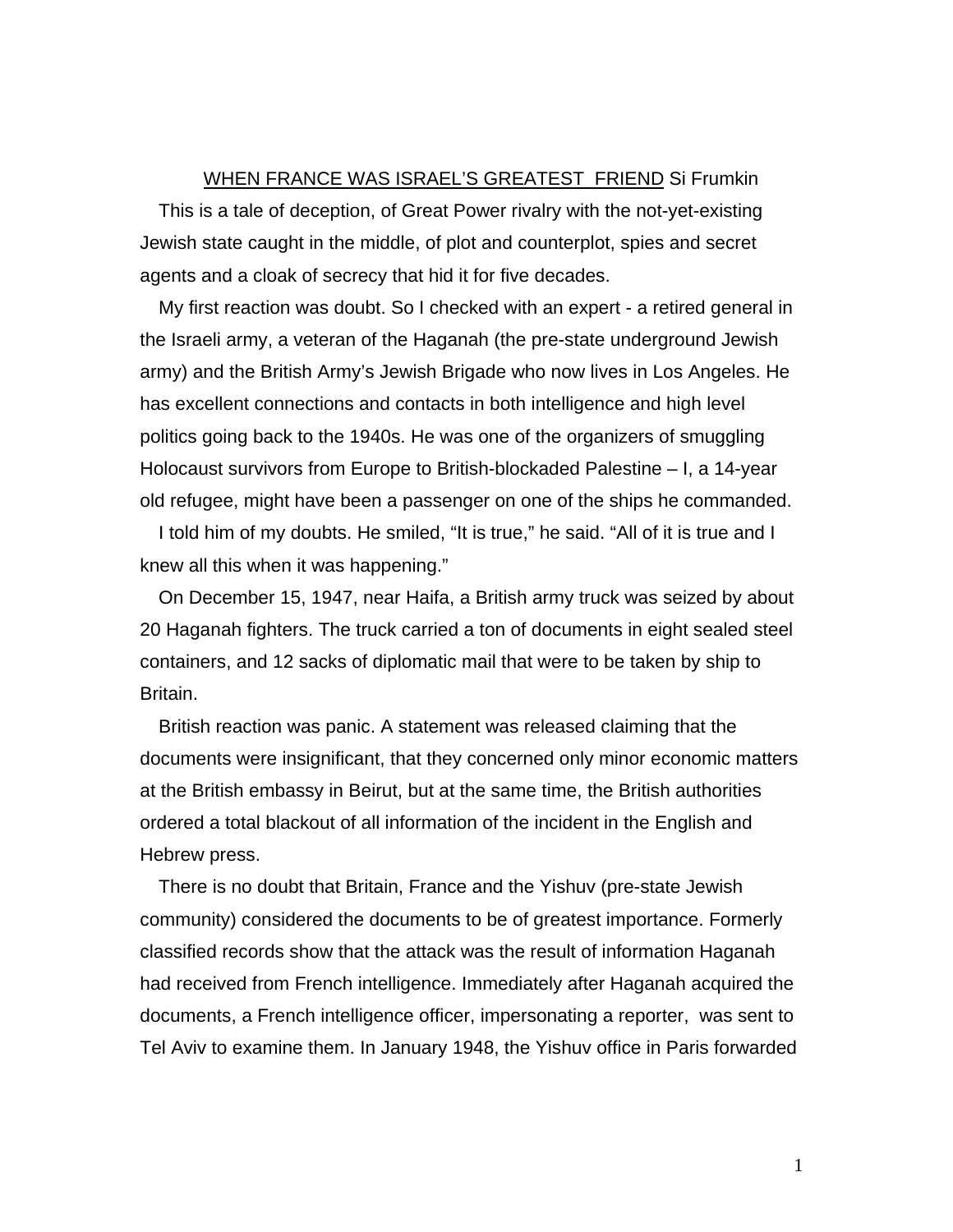## WHEN FRANCE WAS ISRAEL'S GREATEST FRIEND Si Frumkin

This is a tale of deception, of Great Power rivalry with the not-yet-existing Jewish state caught in the middle, of plot and counterplot, spies and secret agents and a cloak of secrecy that hid it for five decades.

My first reaction was doubt. So I checked with an expert - a retired general in the Israeli army, a veteran of the Haganah (the pre-state underground Jewish army) and the British Army's Jewish Brigade who now lives in Los Angeles. He has excellent connections and contacts in both intelligence and high level politics going back to the 1940s. He was one of the organizers of smuggling Holocaust survivors from Europe to British-blockaded Palestine – I, a 14-year old refugee, might have been a passenger on one of the ships he commanded.

I told him of my doubts. He smiled, "It is true," he said. "All of it is true and I knew all this when it was happening."

On December 15, 1947, near Haifa, a British army truck was seized by about 20 Haganah fighters. The truck carried a ton of documents in eight sealed steel containers, and 12 sacks of diplomatic mail that were to be taken by ship to Britain.

British reaction was panic. A statement was released claiming that the documents were insignificant, that they concerned only minor economic matters at the British embassy in Beirut, but at the same time, the British authorities ordered a total blackout of all information of the incident in the English and Hebrew press.

There is no doubt that Britain, France and the Yishuv (pre-state Jewish community) considered the documents to be of greatest importance. Formerly classified records show that the attack was the result of information Haganah had received from French intelligence. Immediately after Haganah acquired the documents, a French intelligence officer, impersonating a reporter, was sent to Tel Aviv to examine them. In January 1948, the Yishuv office in Paris forwarded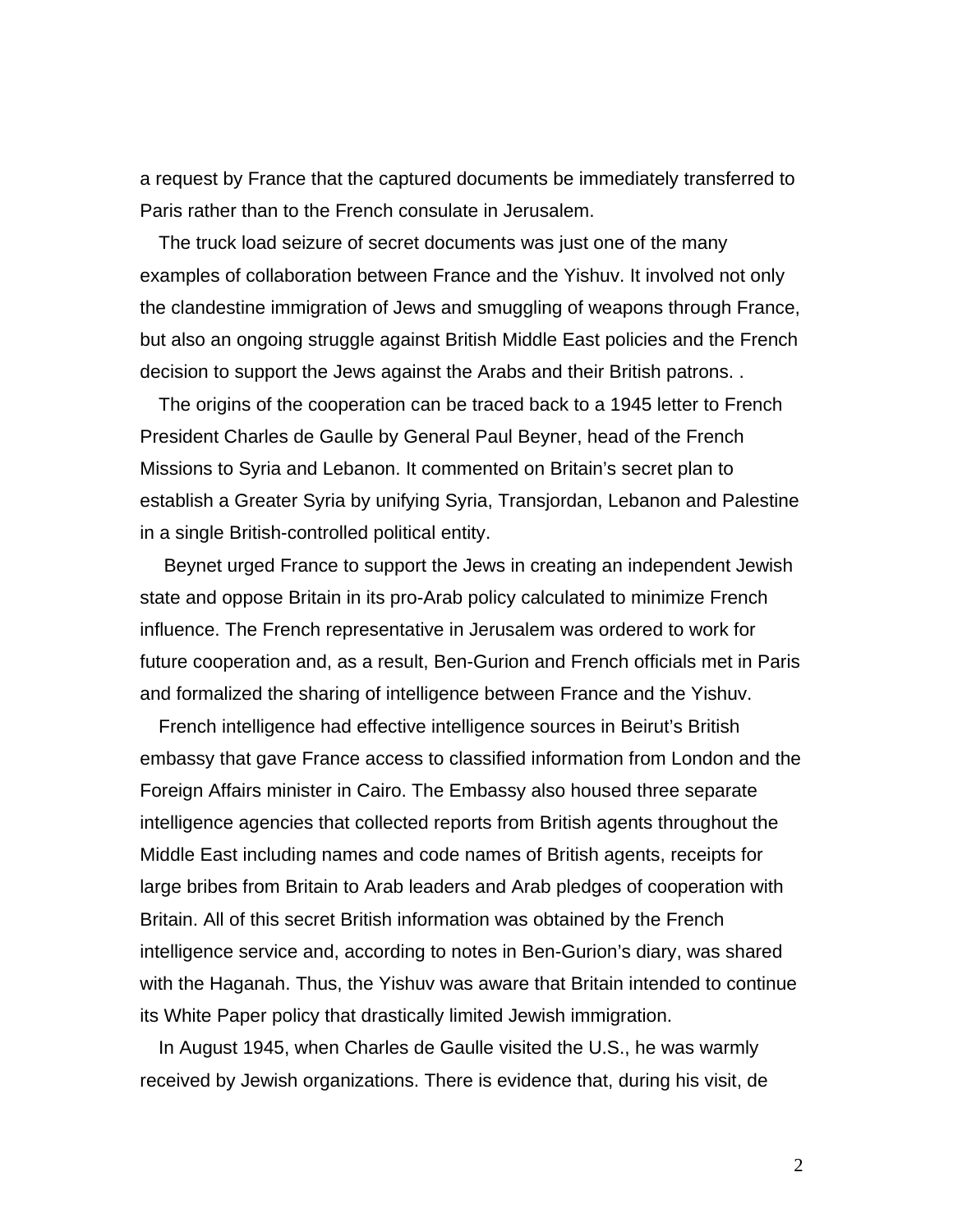a request by France that the captured documents be immediately transferred to Paris rather than to the French consulate in Jerusalem.

The truck load seizure of secret documents was just one of the many examples of collaboration between France and the Yishuv. It involved not only the clandestine immigration of Jews and smuggling of weapons through France, but also an ongoing struggle against British Middle East policies and the French decision to support the Jews against the Arabs and their British patrons. .

The origins of the cooperation can be traced back to a 1945 letter to French President Charles de Gaulle by General Paul Beyner, head of the French Missions to Syria and Lebanon. It commented on Britain's secret plan to establish a Greater Syria by unifying Syria, Transjordan, Lebanon and Palestine in a single British-controlled political entity.

 Beynet urged France to support the Jews in creating an independent Jewish state and oppose Britain in its pro-Arab policy calculated to minimize French influence. The French representative in Jerusalem was ordered to work for future cooperation and, as a result, Ben-Gurion and French officials met in Paris and formalized the sharing of intelligence between France and the Yishuv.

French intelligence had effective intelligence sources in Beirut's British embassy that gave France access to classified information from London and the Foreign Affairs minister in Cairo. The Embassy also housed three separate intelligence agencies that collected reports from British agents throughout the Middle East including names and code names of British agents, receipts for large bribes from Britain to Arab leaders and Arab pledges of cooperation with Britain. All of this secret British information was obtained by the French intelligence service and, according to notes in Ben-Gurion's diary, was shared with the Haganah. Thus, the Yishuv was aware that Britain intended to continue its White Paper policy that drastically limited Jewish immigration.

In August 1945, when Charles de Gaulle visited the U.S., he was warmly received by Jewish organizations. There is evidence that, during his visit, de

2